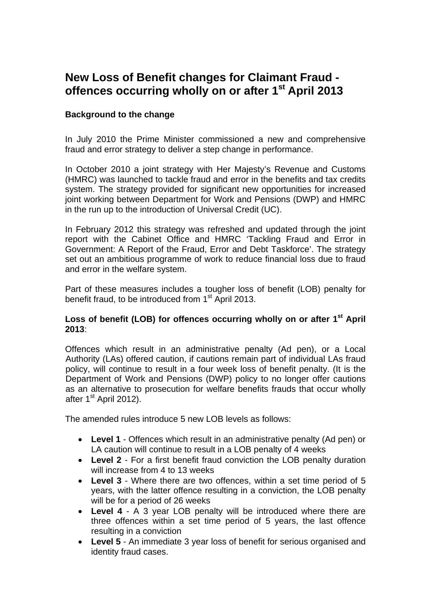## **New Loss of Benefit changes for Claimant Fraud offences occurring wholly on or after 1st April 2013**

## **Background to the change**

In July 2010 the Prime Minister commissioned a new and comprehensive fraud and error strategy to deliver a step change in performance.

In October 2010 a joint strategy with Her Majesty's Revenue and Customs (HMRC) was launched to tackle fraud and error in the benefits and tax credits system. The strategy provided for significant new opportunities for increased joint working between Department for Work and Pensions (DWP) and HMRC in the run up to the introduction of Universal Credit (UC).

In February 2012 this strategy was refreshed and updated through the joint report with the Cabinet Office and HMRC 'Tackling Fraud and Error in Government: A Report of the Fraud, Error and Debt Taskforce'. The strategy set out an ambitious programme of work to reduce financial loss due to fraud and error in the welfare system.

Part of these measures includes a tougher loss of benefit (LOB) penalty for benefit fraud, to be introduced from 1<sup>st</sup> April 2013.

## Loss of benefit (LOB) for offences occurring wholly on or after 1<sup>st</sup> April **2013**:

Offences which result in an administrative penalty (Ad pen), or a Local Authority (LAs) offered caution, if cautions remain part of individual LAs fraud policy, will continue to result in a four week loss of benefit penalty. (It is the Department of Work and Pensions (DWP) policy to no longer offer cautions as an alternative to prosecution for welfare benefits frauds that occur wholly after  $1<sup>st</sup>$  April 2012).

The amended rules introduce 5 new LOB levels as follows:

- **Level 1** Offences which result in an administrative penalty (Ad pen) or LA caution will continue to result in a LOB penalty of 4 weeks
- **Level 2** For a first benefit fraud conviction the LOB penalty duration will increase from 4 to 13 weeks
- **Level 3** Where there are two offences, within a set time period of 5 years, with the latter offence resulting in a conviction, the LOB penalty will be for a period of 26 weeks
- **Level 4** A 3 year LOB penalty will be introduced where there are three offences within a set time period of 5 years, the last offence resulting in a conviction
- **Level 5** An immediate 3 year loss of benefit for serious organised and identity fraud cases.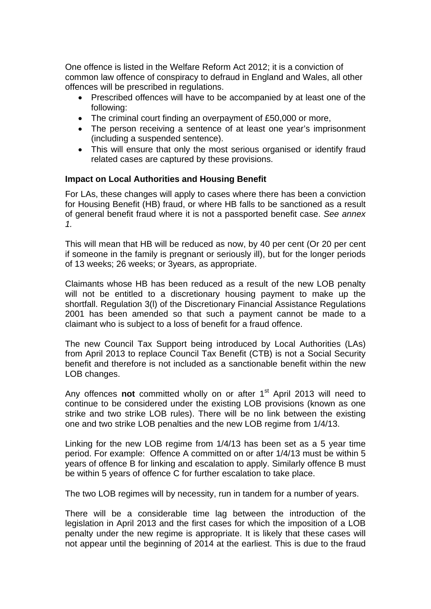One offence is listed in the Welfare Reform Act 2012; it is a conviction of common law offence of conspiracy to defraud in England and Wales, all other offences will be prescribed in regulations.

- Prescribed offences will have to be accompanied by at least one of the following:
- The criminal court finding an overpayment of £50,000 or more,
- The person receiving a sentence of at least one year's imprisonment (including a suspended sentence).
- This will ensure that only the most serious organised or identify fraud related cases are captured by these provisions.

### **Impact on Local Authorities and Housing Benefit**

For LAs, these changes will apply to cases where there has been a conviction for Housing Benefit (HB) fraud, or where HB falls to be sanctioned as a result of general benefit fraud where it is not a passported benefit case. *See annex 1.* 

This will mean that HB will be reduced as now, by 40 per cent (Or 20 per cent if someone in the family is pregnant or seriously ill), but for the longer periods of 13 weeks; 26 weeks; or 3years, as appropriate.

Claimants whose HB has been reduced as a result of the new LOB penalty will not be entitled to a discretionary housing payment to make up the shortfall. Regulation 3(l) of the Discretionary Financial Assistance Regulations 2001 has been amended so that such a payment cannot be made to a claimant who is subject to a loss of benefit for a fraud offence.

The new Council Tax Support being introduced by Local Authorities (LAs) from April 2013 to replace Council Tax Benefit (CTB) is not a Social Security benefit and therefore is not included as a sanctionable benefit within the new LOB changes.

Any offences **not** committed wholly on or after 1<sup>st</sup> April 2013 will need to continue to be considered under the existing LOB provisions (known as one strike and two strike LOB rules). There will be no link between the existing one and two strike LOB penalties and the new LOB regime from 1/4/13.

Linking for the new LOB regime from 1/4/13 has been set as a 5 year time period. For example: Offence A committed on or after 1/4/13 must be within 5 years of offence B for linking and escalation to apply. Similarly offence B must be within 5 years of offence C for further escalation to take place.

The two LOB regimes will by necessity, run in tandem for a number of years.

There will be a considerable time lag between the introduction of the legislation in April 2013 and the first cases for which the imposition of a LOB penalty under the new regime is appropriate. It is likely that these cases will not appear until the beginning of 2014 at the earliest. This is due to the fraud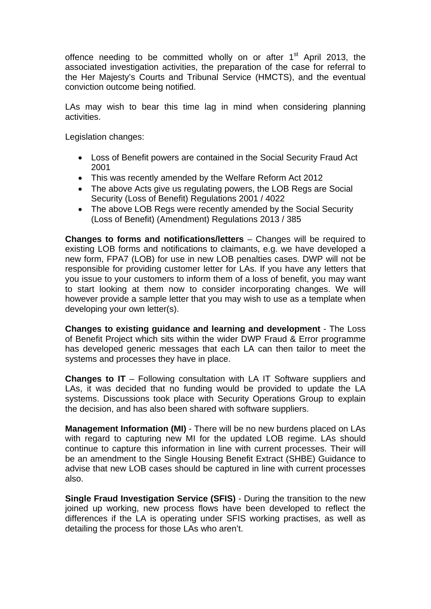offence needing to be committed wholly on or after 1<sup>st</sup> April 2013, the associated investigation activities, the preparation of the case for referral to the Her Majesty's Courts and Tribunal Service (HMCTS), and the eventual conviction outcome being notified.

LAs may wish to bear this time lag in mind when considering planning activities.

Legislation changes:

- Loss of Benefit powers are contained in the Social Security Fraud Act 2001
- This was recently amended by the Welfare Reform Act 2012
- The above Acts give us regulating powers, the LOB Regs are Social Security (Loss of Benefit) Regulations 2001 / 4022
- The above LOB Regs were recently amended by the Social Security (Loss of Benefit) (Amendment) Regulations 2013 / 385

**Changes to forms and notifications/letters** – Changes will be required to existing LOB forms and notifications to claimants, e.g. we have developed a new form, FPA7 (LOB) for use in new LOB penalties cases. DWP will not be responsible for providing customer letter for LAs. If you have any letters that you issue to your customers to inform them of a loss of benefit, you may want to start looking at them now to consider incorporating changes. We will however provide a sample letter that you may wish to use as a template when developing your own letter(s).

**Changes to existing guidance and learning and development** - The Loss of Benefit Project which sits within the wider DWP Fraud & Error programme has developed generic messages that each LA can then tailor to meet the systems and processes they have in place.

**Changes to IT** – Following consultation with LA IT Software suppliers and LAs, it was decided that no funding would be provided to update the LA systems. Discussions took place with Security Operations Group to explain the decision, and has also been shared with software suppliers.

**Management Information (MI)** - There will be no new burdens placed on LAs with regard to capturing new MI for the updated LOB regime. LAs should continue to capture this information in line with current processes. Their will be an amendment to the Single Housing Benefit Extract (SHBE) Guidance to advise that new LOB cases should be captured in line with current processes also.

**Single Fraud Investigation Service (SFIS)** - During the transition to the new joined up working, new process flows have been developed to reflect the differences if the LA is operating under SFIS working practises, as well as detailing the process for those LAs who aren't.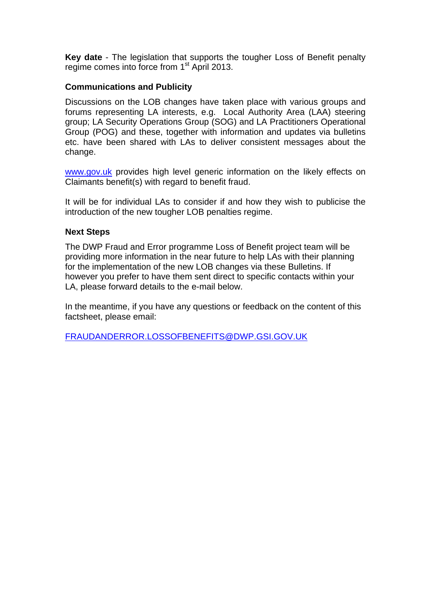**Key date** - The legislation that supports the tougher Loss of Benefit penalty regime comes into force from 1<sup>st</sup> April 2013.

### **Communications and Publicity**

Discussions on the LOB changes have taken place with various groups and forums representing LA interests, e.g. Local Authority Area (LAA) steering group; LA Security Operations Group (SOG) and LA Practitioners Operational Group (POG) and these, together with information and updates via bulletins etc. have been shared with LAs to deliver consistent messages about the change.

[www.gov.uk](http://www.gov.uk/) provides high level generic information on the likely effects on Claimants benefit(s) with regard to benefit fraud.

It will be for individual LAs to consider if and how they wish to publicise the introduction of the new tougher LOB penalties regime.

#### **Next Steps**

The DWP Fraud and Error programme Loss of Benefit project team will be providing more information in the near future to help LAs with their planning for the implementation of the new LOB changes via these Bulletins. If however you prefer to have them sent direct to specific contacts within your LA, please forward details to the e-mail below.

In the meantime, if you have any questions or feedback on the content of this factsheet, please email:

[FRAUDANDERROR.LOSSOFBENEFITS@DWP.GSI.GOV.UK](mailto:FRAUDANDERROR.LOSSOFBENEFITS@DWP.GSI.GOV.UK)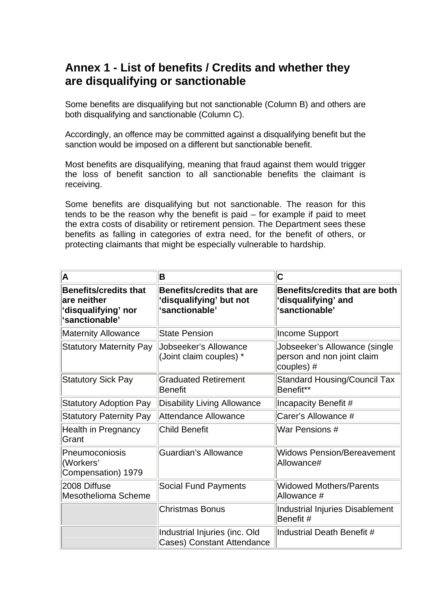# **Annex 1 - List of benefits / Credits and whether they are disqualifying or sanctionable**

Some benefits are disqualifying but not sanctionable (Column B) and others are both disqualifying and sanctionable (Column C).

Accordingly, an offence may be committed against a disqualifying benefit but the sanction would be imposed on a different but sanctionable benefit.

Most benefits are disqualifying, meaning that fraud against them would trigger the loss of benefit sanction to all sanctionable benefits the claimant is receiving.

Some benefits are disqualifying but not sanctionable. The reason for this tends to be the reason why the benefit is paid – for example if paid to meet the extra costs of disability or retirement pension. The Department sees these benefits as falling in categories of extra need, for the benefit of others, or protecting claimants that might be especially vulnerable to hardship.

| A                                                                                    | B                                                                            | C                                                                         |
|--------------------------------------------------------------------------------------|------------------------------------------------------------------------------|---------------------------------------------------------------------------|
| <b>Benefits/credits that</b><br>are neither<br>'disqualifying' nor<br>'sanctionable' | <b>Benefits/credits that are</b><br>disqualifying' but not<br>'sanctionable' | Benefits/credits that are both<br>'disqualifying' and<br>'sanctionable'   |
| <b>Maternity Allowance</b>                                                           | <b>State Pension</b>                                                         | <b>Income Support</b>                                                     |
| <b>Statutory Maternity Pay</b>                                                       | Jobseeker's Allowance<br>(Joint claim couples) *                             | Jobseeker's Allowance (single<br>person and non joint claim<br>couples) # |
| <b>Statutory Sick Pay</b>                                                            | <b>Graduated Retirement</b><br><b>Benefit</b>                                | <b>Standard Housing/Council Tax</b><br>Benefit**                          |
| <b>Statutory Adoption Pay</b>                                                        | <b>Disability Living Allowance</b>                                           | Incapacity Benefit #                                                      |
| <b>Statutory Paternity Pay</b>                                                       | Attendance Allowance                                                         | Carer's Allowance #                                                       |
| Health in Pregnancy<br>Grant                                                         | <b>Child Benefit</b>                                                         | War Pensions #                                                            |
| Pneumoconiosis<br>(Workers'<br>Compensation) 1979                                    | Guardian's Allowance                                                         | <b>Widows Pension/Bereavement</b><br>Allowance#                           |
| 2008 Diffuse<br>Mesothelioma Scheme                                                  | <b>Social Fund Payments</b>                                                  | <b>Widowed Mothers/Parents</b><br>Allowance #                             |
|                                                                                      | <b>Christmas Bonus</b>                                                       | Industrial Injuries Disablement<br>Benefit #                              |
|                                                                                      | Industrial Injuries (inc. Old<br><b>Cases) Constant Attendance</b>           | Industrial Death Benefit #                                                |